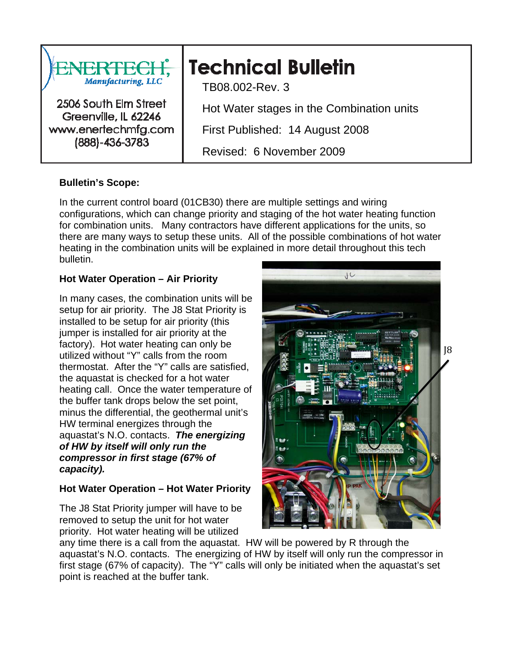

# **Bulletin's Scope:**

In the current control board (01CB30) there are multiple settings and wiring configurations, which can change priority and staging of the hot water heating function for combination units. Many contractors have different applications for the units, so there are many ways to setup these units. All of the possible combinations of hot water heating in the combination units will be explained in more detail throughout this tech bulletin.

### **Hot Water Operation – Air Priority**

In many cases, the combination units will be setup for air priority. The J8 Stat Priority is installed to be setup for air priority (this jumper is installed for air priority at the factory). Hot water heating can only be utilized without "Y" calls from the room thermostat. After the "Y" calls are satisfied, the aquastat is checked for a hot water heating call. Once the water temperature of the buffer tank drops below the set point, minus the differential, the geothermal unit's HW terminal energizes through the aquastat's N.O. contacts. *The energizing of HW by itself will only run the compressor in first stage (67% of capacity).* 

# **Hot Water Operation – Hot Water Priority**

The J8 Stat Priority jumper will have to be removed to setup the unit for hot water priority. Hot water heating will be utilized



any time there is a call from the aquastat. HW will be powered by R through the aquastat's N.O. contacts. The energizing of HW by itself will only run the compressor in first stage (67% of capacity). The "Y" calls will only be initiated when the aquastat's set point is reached at the buffer tank.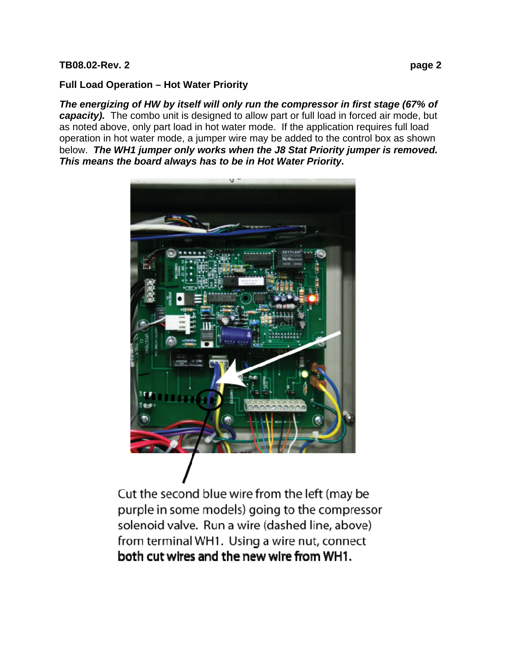### **TB08.02-Rev. 2 page 2**

# **Full Load Operation – Hot Water Priority**

*The energizing of HW by itself will only run the compressor in first stage (67% of capacity).* The combo unit is designed to allow part or full load in forced air mode, but as noted above, only part load in hot water mode. If the application requires full load operation in hot water mode, a jumper wire may be added to the control box as shown below. *The WH1 jumper only works when the J8 Stat Priority jumper is removed. This means the board always has to be in Hot Water Priority.*



Cut the second blue wire from the left (may be purple in some models) going to the compressor solenoid valve. Run a wire (dashed line, above) from terminal WH1. Using a wire nut, connect both cut wires and the new wire from WH1.